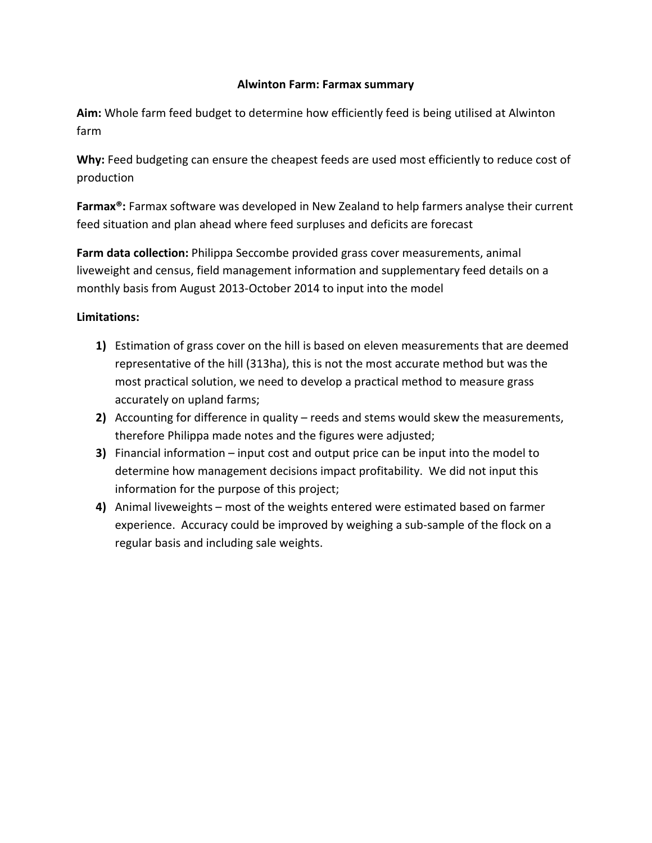## **Alwinton Farm: Farmax summary**

**Aim:** Whole farm feed budget to determine how efficiently feed is being utilised at Alwinton farm

**Why:** Feed budgeting can ensure the cheapest feeds are used most efficiently to reduce cost of production

**Farmax®:** Farmax software was developed in New Zealand to help farmers analyse their current feed situation and plan ahead where feed surpluses and deficits are forecast

**Farm data collection:** Philippa Seccombe provided grass cover measurements, animal liveweight and census, field management information and supplementary feed details on a monthly basis from August 2013-October 2014 to input into the model

# **Limitations:**

- **1)** Estimation of grass cover on the hill is based on eleven measurements that are deemed representative of the hill (313ha), this is not the most accurate method but was the most practical solution, we need to develop a practical method to measure grass accurately on upland farms;
- **2)** Accounting for difference in quality reeds and stems would skew the measurements, therefore Philippa made notes and the figures were adjusted;
- **3)** Financial information input cost and output price can be input into the model to determine how management decisions impact profitability. We did not input this information for the purpose of this project;
- **4)** Animal liveweights most of the weights entered were estimated based on farmer experience. Accuracy could be improved by weighing a sub-sample of the flock on a regular basis and including sale weights.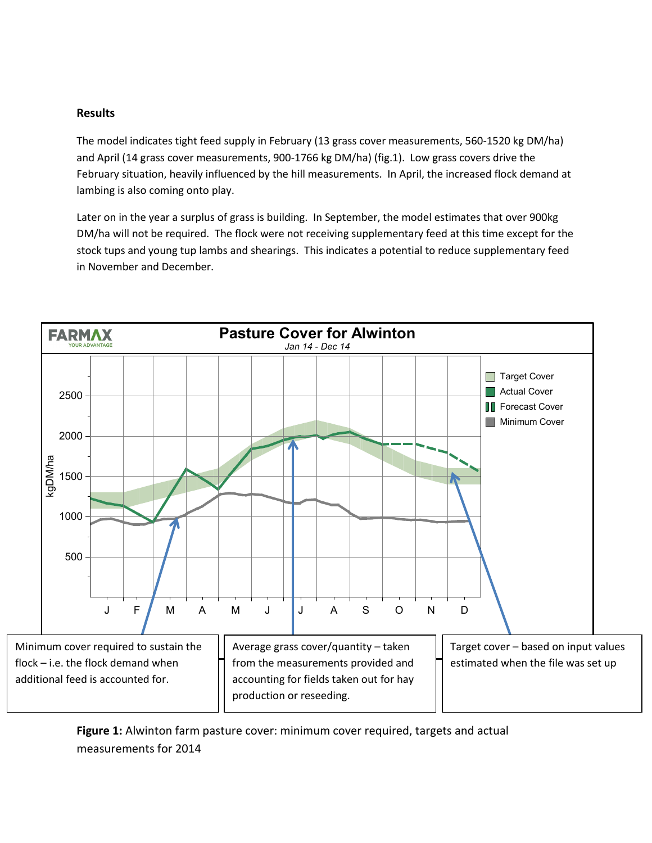### **Results**

The model indicates tight feed supply in February (13 grass cover measurements, 560-1520 kg DM/ha) and April (14 grass cover measurements, 900-1766 kg DM/ha) (fig.1). Low grass covers drive the February situation, heavily influenced by the hill measurements. In April, the increased flock demand at lambing is also coming onto play.

Later on in the year a surplus of grass is building. In September, the model estimates that over 900kg DM/ha will not be required. The flock were not receiving supplementary feed at this time except for the stock tups and young tup lambs and shearings. This indicates a potential to reduce supplementary feed in November and December.



**Figure 1:** Alwinton farm pasture cover: minimum cover required, targets and actual measurements for 2014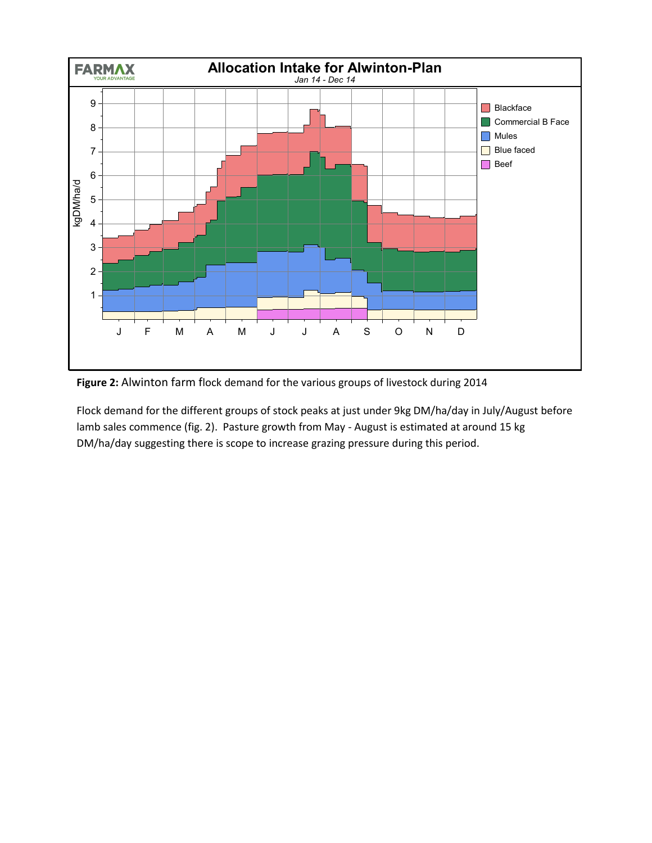

**Figure 2:** Alwinton farm flock demand for the various groups of livestock during 2014

Flock demand for the different groups of stock peaks at just under 9kg DM/ha/day in July/August before lamb sales commence (fig. 2). Pasture growth from May - August is estimated at around 15 kg DM/ha/day suggesting there is scope to increase grazing pressure during this period.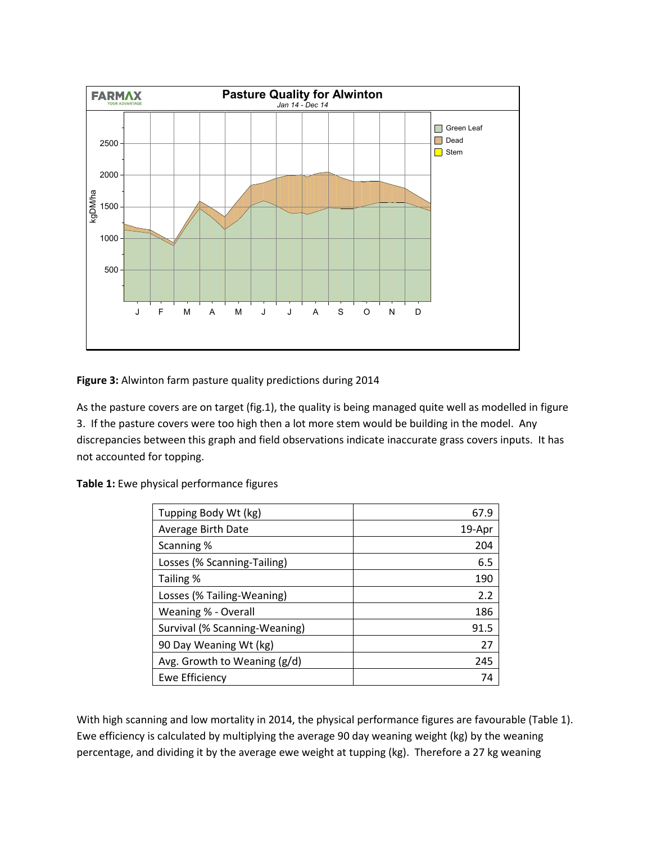

**Figure 3:** Alwinton farm pasture quality predictions during 2014

As the pasture covers are on target (fig.1), the quality is being managed quite well as modelled in figure 3. If the pasture covers were too high then a lot more stem would be building in the model. Any discrepancies between this graph and field observations indicate inaccurate grass covers inputs. It has not accounted for topping.

| Tupping Body Wt (kg)          | 67.9   |
|-------------------------------|--------|
| Average Birth Date            | 19-Apr |
| Scanning %                    | 204    |
| Losses (% Scanning-Tailing)   | 6.5    |
| Tailing %                     | 190    |
| Losses (% Tailing-Weaning)    | 2.2    |
| Weaning % - Overall           | 186    |
| Survival (% Scanning-Weaning) | 91.5   |
| 90 Day Weaning Wt (kg)        | 27     |
| Avg. Growth to Weaning (g/d)  | 245    |
| Ewe Efficiency                | 74     |

**Table 1:** Ewe physical performance figures

With high scanning and low mortality in 2014, the physical performance figures are favourable (Table 1). Ewe efficiency is calculated by multiplying the average 90 day weaning weight (kg) by the weaning percentage, and dividing it by the average ewe weight at tupping (kg). Therefore a 27 kg weaning